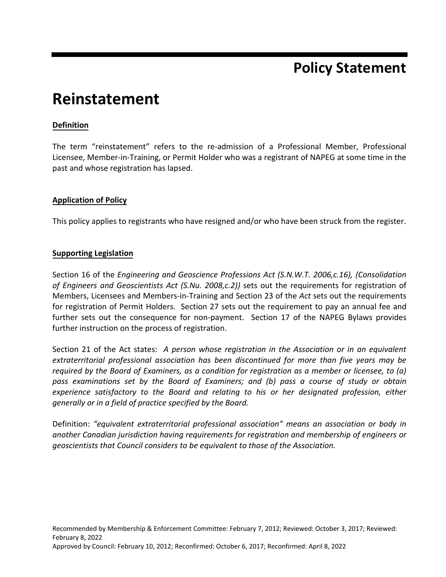## **Policy Statement**

# **Reinstatement**

### **Definition**

The term "reinstatement" refers to the re-admission of a Professional Member, Professional Licensee, Member-in-Training, or Permit Holder who was a registrant of NAPEG at some time in the past and whose registration has lapsed.

#### **Application of Policy**

This policy applies to registrants who have resigned and/or who have been struck from the register.

#### **Supporting Legislation**

Section 16 of the *Engineering and Geoscience Professions Act (S.N.W.T. 2006,c.16), (Consolidation of Engineers and Geoscientists Act (S.Nu. 2008,c.2))* sets out the requirements for registration of Members, Licensees and Members-in-Training and Section 23 of the *Act* sets out the requirements for registration of Permit Holders. Section 27 sets out the requirement to pay an annual fee and further sets out the consequence for non-payment. Section 17 of the NAPEG Bylaws provides further instruction on the process of registration.

Section 21 of the Act states: *A person whose registration in the Association or in an equivalent extraterritorial professional association has been discontinued for more than five years may be required by the Board of Examiners, as a condition for registration as a member or licensee, to (a) pass examinations set by the Board of Examiners; and (b) pass a course of study or obtain experience satisfactory to the Board and relating to his or her designated profession, either generally or in a field of practice specified by the Board.*

Definition: *"equivalent extraterritorial professional association" means an association or body in another Canadian jurisdiction having requirements for registration and membership of engineers or geoscientists that Council considers to be equivalent to those of the Association.*